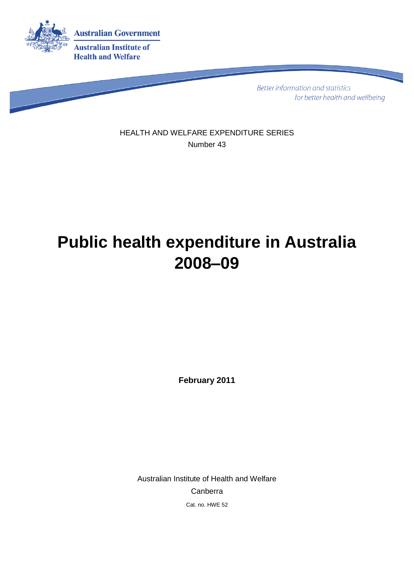

**Better information and statistics** for better health and wellbeing

HEALTH AND WELFARE EXPENDITURE SERIES Number 43

# **Public health expenditure in Australia 2008–09**

**February 2011**

Australian Institute of Health and Welfare Canberra Cat. no. HWE 52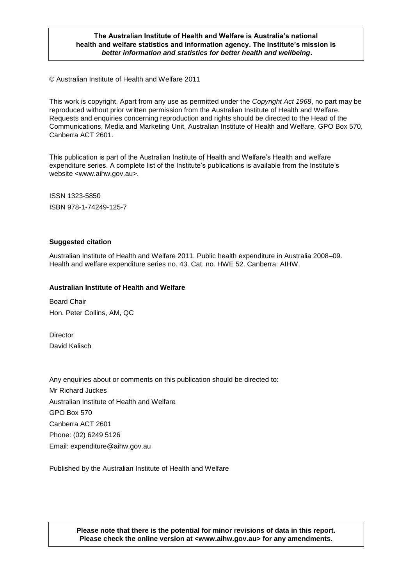#### **The Australian Institute of Health and Welfare is Australia's national health and welfare statistics and information agency. The Institute's mission is** *better information and statistics for better health and wellbeing***.**

© Australian Institute of Health and Welfare 2011

This work is copyright. Apart from any use as permitted under the *Copyright Act 1968*, no part may be reproduced without prior written permission from the Australian Institute of Health and Welfare. Requests and enquiries concerning reproduction and rights should be directed to the Head of the Communications, Media and Marketing Unit, Australian Institute of Health and Welfare, GPO Box 570, Canberra ACT 2601.

This publication is part of the Australian Institute of Health and Welfare's Health and welfare expenditure series. A complete list of the Institute's publications is available from the Institute's website <www.aihw.gov.au>.

ISSN 1323-5850 ISBN 978-1-74249-125-7

#### **Suggested citation**

Australian Institute of Health and Welfare 2011. Public health expenditure in Australia 2008–09. Health and welfare expenditure series no. 43. Cat. no. HWE 52. Canberra: AIHW.

#### **Australian Institute of Health and Welfare**

Board Chair Hon. Peter Collins, AM, QC

**Director** David Kalisch

Any enquiries about or comments on this publication should be directed to: Mr Richard Juckes Australian Institute of Health and Welfare GPO Box 570 Canberra ACT 2601 Phone: (02) 6249 5126 Email: expenditure@aihw.gov.au

Published by the Australian Institute of Health and Welfare

#### **Please note that there is the potential for minor revisions of data in this report. Please check the online version at <www.aihw.gov.au> for any amendments.**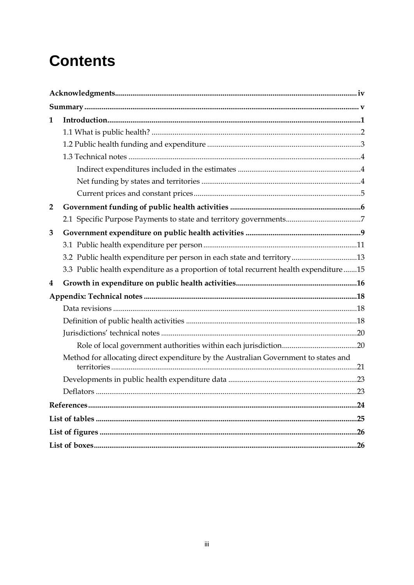# **Contents**

| 1            |                                                                                       |
|--------------|---------------------------------------------------------------------------------------|
|              |                                                                                       |
|              |                                                                                       |
|              |                                                                                       |
|              |                                                                                       |
|              |                                                                                       |
|              |                                                                                       |
| $\mathbf{2}$ |                                                                                       |
|              |                                                                                       |
| 3            |                                                                                       |
|              |                                                                                       |
|              | 3.2 Public health expenditure per person in each state and territory13                |
|              | 3.3 Public health expenditure as a proportion of total recurrent health expenditure15 |
| 4            |                                                                                       |
|              |                                                                                       |
|              |                                                                                       |
|              |                                                                                       |
|              |                                                                                       |
|              |                                                                                       |
|              | Method for allocating direct expenditure by the Australian Government to states and   |
|              |                                                                                       |
|              |                                                                                       |
|              |                                                                                       |
|              |                                                                                       |
|              |                                                                                       |
|              |                                                                                       |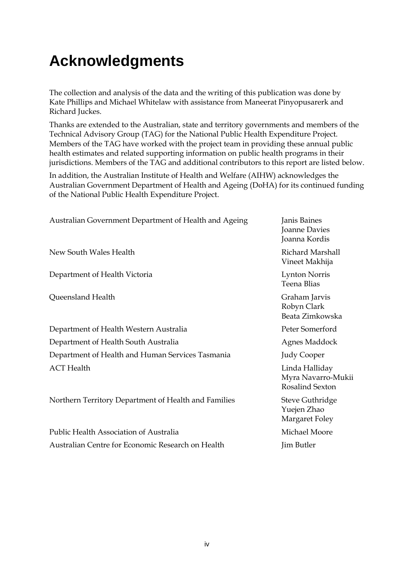## **Acknowledgments**

The collection and analysis of the data and the writing of this publication was done by Kate Phillips and Michael Whitelaw with assistance from Maneerat Pinyopusarerk and Richard Juckes.

Thanks are extended to the Australian, state and territory governments and members of the Technical Advisory Group (TAG) for the National Public Health Expenditure Project. Members of the TAG have worked with the project team in providing these annual public health estimates and related supporting information on public health programs in their jurisdictions. Members of the TAG and additional contributors to this report are listed below.

In addition, the Australian Institute of Health and Welfare (AIHW) acknowledges the Australian Government Department of Health and Ageing (DoHA) for its continued funding of the National Public Health Expenditure Project.

| Janis Baines<br>Joanne Davies<br>Joanna Kordis          |
|---------------------------------------------------------|
| <b>Richard Marshall</b><br>Vineet Makhija               |
| <b>Lynton Norris</b><br>Teena Blias                     |
| Graham Jarvis<br>Robyn Clark<br>Beata Zimkowska         |
| Peter Somerford                                         |
| Agnes Maddock                                           |
| <b>Judy Cooper</b>                                      |
| Linda Halliday<br>Myra Navarro-Mukii<br>Rosalind Sexton |
| <b>Steve Guthridge</b><br>Yuejen Zhao<br>Margaret Foley |
| Michael Moore                                           |
| Jim Butler                                              |
|                                                         |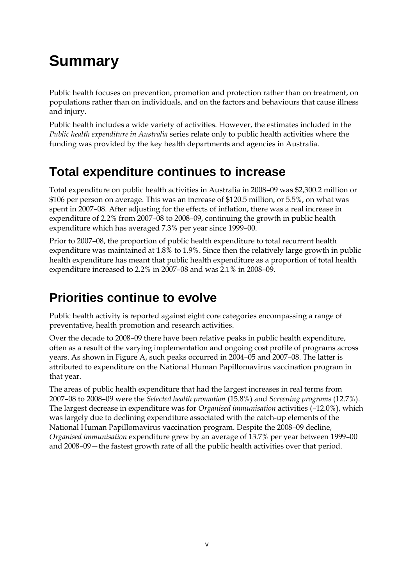# **Summary**

Public health focuses on prevention, promotion and protection rather than on treatment, on populations rather than on individuals, and on the factors and behaviours that cause illness and injury.

Public health includes a wide variety of activities. However, the estimates included in the *Public health expenditure in Australia* series relate only to public health activities where the funding was provided by the key health departments and agencies in Australia.

### **Total expenditure continues to increase**

Total expenditure on public health activities in Australia in 2008–09 was \$2,300.2 million or \$106 per person on average. This was an increase of \$120.5 million, or 5.5%, on what was spent in 2007–08. After adjusting for the effects of inflation, there was a real increase in expenditure of 2.2% from 2007–08 to 2008–09, continuing the growth in public health expenditure which has averaged 7.3% per year since 1999–00.

Prior to 2007–08, the proportion of public health expenditure to total recurrent health expenditure was maintained at 1.8% to 1.9%. Since then the relatively large growth in public health expenditure has meant that public health expenditure as a proportion of total health expenditure increased to 2.2% in 2007–08 and was 2.1% in 2008–09.

## **Priorities continue to evolve**

Public health activity is reported against eight core categories encompassing a range of preventative, health promotion and research activities.

Over the decade to 2008–09 there have been relative peaks in public health expenditure, often as a result of the varying implementation and ongoing cost profile of programs across years. As shown in Figure A, such peaks occurred in 2004–05 and 2007–08. The latter is attributed to expenditure on the National Human Papillomavirus vaccination program in that year.

The areas of public health expenditure that had the largest increases in real terms from 2007–08 to 2008–09 were the *Selected health promotion* (15.8%) and *Screening programs* (12.7%). The largest decrease in expenditure was for *Organised immunisation* activities (–12.0%), which was largely due to declining expenditure associated with the catch-up elements of the National Human Papillomavirus vaccination program. Despite the 2008–09 decline, *Organised immunisation* expenditure grew by an average of 13.7% per year between 1999–00 and 2008–09—the fastest growth rate of all the public health activities over that period.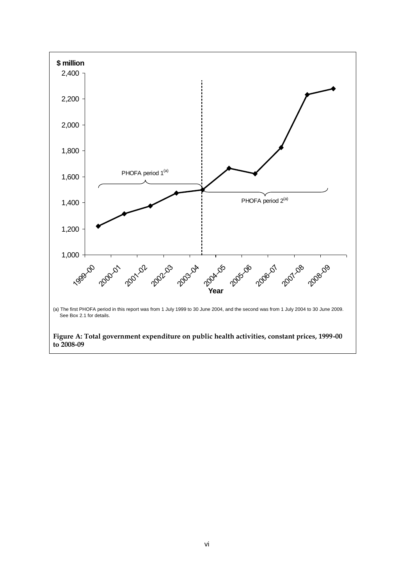<span id="page-5-0"></span>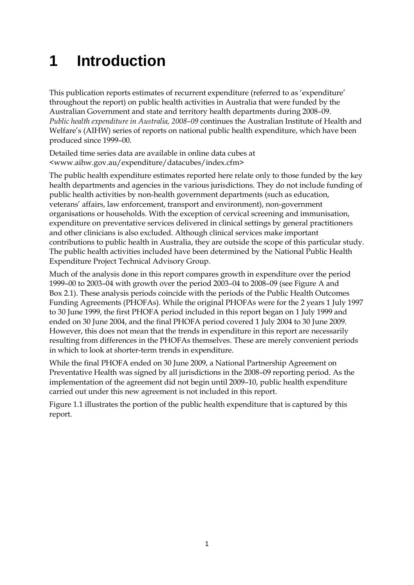# **1 Introduction**

This publication reports estimates of recurrent expenditure (referred to as 'expenditure' throughout the report) on public health activities in Australia that were funded by the Australian Government and state and territory health departments during 2008–09. *Public health expenditure in Australia, 2008–09* continues the Australian Institute of Health and Welfare's (AIHW) series of reports on national public health expenditure, which have been produced since 1999–00.

Detailed time series data are available in online data cubes at <www.aihw.gov.au/expenditure/datacubes/index.cfm>

The public health expenditure estimates reported here relate only to those funded by the key health departments and agencies in the various jurisdictions. They do not include funding of public health activities by non-health government departments (such as education, veterans' affairs, law enforcement, transport and environment), non-government organisations or households. With the exception of cervical screening and immunisation, expenditure on preventative services delivered in clinical settings by general practitioners and other clinicians is also excluded. Although clinical services make important contributions to public health in Australia, they are outside the scope of this particular study. The public health activities included have been determined by the National Public Health Expenditure Project Technical Advisory Group.

Much of the analysis done in this report compares growth in expenditure over the period 1999–00 to 2003–04 with growth over the period 2003–04 to 2008–09 (see Figure A and Box 2.1). These analysis periods coincide with the periods of the Public Health Outcomes Funding Agreements (PHOFAs). While the original PHOFAs were for the 2 years 1 July 1997 to 30 June 1999, the first PHOFA period included in this report began on 1 July 1999 and ended on 30 June 2004, and the final PHOFA period covered 1 July 2004 to 30 June 2009. However, this does not mean that the trends in expenditure in this report are necessarily resulting from differences in the PHOFAs themselves. These are merely convenient periods in which to look at shorter-term trends in expenditure.

While the final PHOFA ended on 30 June 2009, a National Partnership Agreement on Preventative Health was signed by all jurisdictions in the 2008–09 reporting period. As the implementation of the agreement did not begin until 2009–10, public health expenditure carried out under this new agreement is not included in this report.

Figure 1.1 illustrates the portion of the public health expenditure that is captured by this report.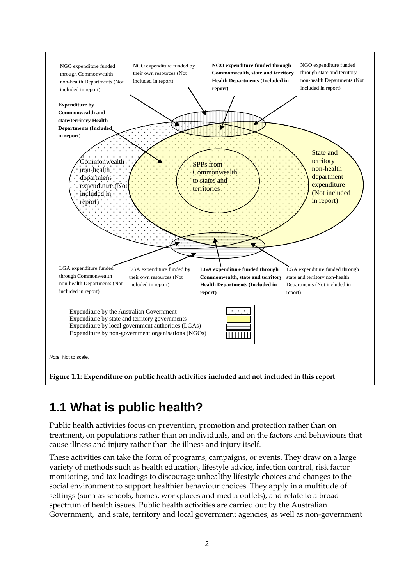

## <span id="page-7-0"></span>**1.1 What is public health?**

Public health activities focus on prevention, promotion and protection rather than on treatment, on populations rather than on individuals, and on the factors and behaviours that cause illness and injury rather than the illness and injury itself.

These activities can take the form of programs, campaigns, or events. They draw on a large variety of methods such as health education, lifestyle advice, infection control, risk factor monitoring, and tax loadings to discourage unhealthy lifestyle choices and changes to the social environment to support healthier behaviour choices. They apply in a multitude of settings (such as schools, homes, workplaces and media outlets), and relate to a broad spectrum of health issues. Public health activities are carried out by the Australian Government, and state, territory and local government agencies, as well as non-government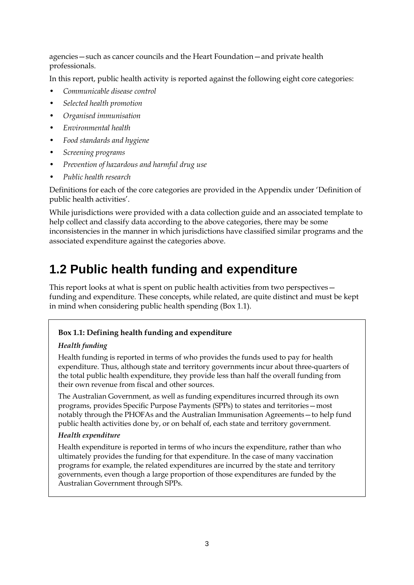agencies—such as cancer councils and the Heart Foundation—and private health professionals.

In this report, public health activity is reported against the following eight core categories:

- *Communicable disease control*
- *Selected health promotion*
- *Organised immunisation*
- *Environmental health*
- *Food standards and hygiene*
- *Screening programs*
- *Prevention of hazardous and harmful drug use*
- *Public health research*

Definitions for each of the core categories are provided in the Appendix under 'Definition of public health activities'.

While jurisdictions were provided with a data collection guide and an associated template to help collect and classify data according to the above categories, there may be some inconsistencies in the manner in which jurisdictions have classified similar programs and the associated expenditure against the categories above.

### **1.2 Public health funding and expenditure**

This report looks at what is spent on public health activities from two perspectives funding and expenditure. These concepts, while related, are quite distinct and must be kept in mind when considering public health spending (Box 1.1).

#### <span id="page-8-0"></span>**Box 1.1: Defining health funding and expenditure**

#### *Health funding*

Health funding is reported in terms of who provides the funds used to pay for health expenditure. Thus, although state and territory governments incur about three-quarters of the total public health expenditure, they provide less than half the overall funding from their own revenue from fiscal and other sources.

The Australian Government, as well as funding expenditures incurred through its own programs, provides Specific Purpose Payments (SPPs) to states and territories—most notably through the PHOFAs and the Australian Immunisation Agreements—to help fund public health activities done by, or on behalf of, each state and territory government.

#### *Health expenditure*

Health expenditure is reported in terms of who incurs the expenditure, rather than who ultimately provides the funding for that expenditure. In the case of many vaccination programs for example, the related expenditures are incurred by the state and territory governments, even though a large proportion of those expenditures are funded by the Australian Government through SPPs.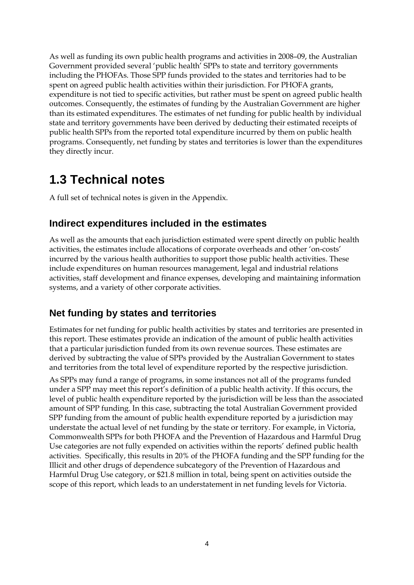As well as funding its own public health programs and activities in 2008–09, the Australian Government provided several 'public health' SPPs to state and territory governments including the PHOFAs. Those SPP funds provided to the states and territories had to be spent on agreed public health activities within their jurisdiction. For PHOFA grants, expenditure is not tied to specific activities, but rather must be spent on agreed public health outcomes. Consequently, the estimates of funding by the Australian Government are higher than its estimated expenditures. The estimates of net funding for public health by individual state and territory governments have been derived by deducting their estimated receipts of public health SPPs from the reported total expenditure incurred by them on public health programs. Consequently, net funding by states and territories is lower than the expenditures they directly incur.

### **1.3 Technical notes**

A full set of technical notes is given in the Appendix.

#### **Indirect expenditures included in the estimates**

As well as the amounts that each jurisdiction estimated were spent directly on public health activities, the estimates include allocations of corporate overheads and other 'on-costs' incurred by the various health authorities to support those public health activities. These include expenditures on human resources management, legal and industrial relations activities, staff development and finance expenses, developing and maintaining information systems, and a variety of other corporate activities.

### **Net funding by states and territories**

Estimates for net funding for public health activities by states and territories are presented in this report. These estimates provide an indication of the amount of public health activities that a particular jurisdiction funded from its own revenue sources. These estimates are derived by subtracting the value of SPPs provided by the Australian Government to states and territories from the total level of expenditure reported by the respective jurisdiction.

As SPPs may fund a range of programs, in some instances not all of the programs funded under a SPP may meet this report's definition of a public health activity. If this occurs, the level of public health expenditure reported by the jurisdiction will be less than the associated amount of SPP funding. In this case, subtracting the total Australian Government provided SPP funding from the amount of public health expenditure reported by a jurisdiction may understate the actual level of net funding by the state or territory. For example, in Victoria, Commonwealth SPPs for both PHOFA and the Prevention of Hazardous and Harmful Drug Use categories are not fully expended on activities within the reports' defined public health activities. Specifically, this results in 20% of the PHOFA funding and the SPP funding for the Illicit and other drugs of dependence subcategory of the Prevention of Hazardous and Harmful Drug Use category, or \$21.8 million in total, being spent on activities outside the scope of this report, which leads to an understatement in net funding levels for Victoria.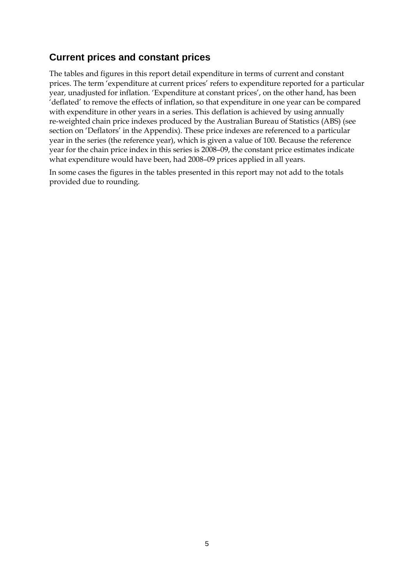### **Current prices and constant prices**

The tables and figures in this report detail expenditure in terms of current and constant prices. The term 'expenditure at current prices' refers to expenditure reported for a particular year, unadjusted for inflation. 'Expenditure at constant prices', on the other hand, has been 'deflated' to remove the effects of inflation, so that expenditure in one year can be compared with expenditure in other years in a series. This deflation is achieved by using annually re-weighted chain price indexes produced by the Australian Bureau of Statistics (ABS) (see section on 'Deflators' in the Appendix). These price indexes are referenced to a particular year in the series (the reference year), which is given a value of 100. Because the reference year for the chain price index in this series is 2008–09, the constant price estimates indicate what expenditure would have been, had 2008–09 prices applied in all years.

In some cases the figures in the tables presented in this report may not add to the totals provided due to rounding.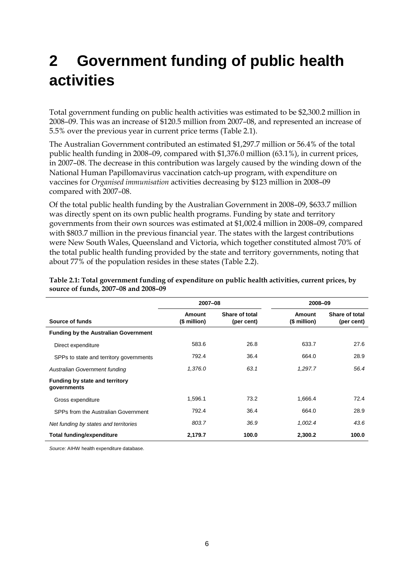# **2 Government funding of public health activities**

Total government funding on public health activities was estimated to be \$2,300.2 million in 2008–09. This was an increase of \$120.5 million from 2007–08, and represented an increase of 5.5% over the previous year in current price terms (Table 2.1).

The Australian Government contributed an estimated \$1,297.7 million or 56.4% of the total public health funding in 2008–09, compared with \$1,376.0 million (63.1%), in current prices, in 2007–08. The decrease in this contribution was largely caused by the winding down of the National Human Papillomavirus vaccination catch-up program, with expenditure on vaccines for *Organised immunisation* activities decreasing by \$123 million in 2008–09 compared with 2007–08.

Of the total public health funding by the Australian Government in 2008–09, \$633.7 million was directly spent on its own public health programs. Funding by state and territory governments from their own sources was estimated at \$1,002.4 million in 2008–09, compared with \$803.7 million in the previous financial year. The states with the largest contributions were New South Wales, Queensland and Victoria, which together constituted almost 70% of the total public health funding provided by the state and territory governments, noting that about 77% of the population resides in these states (Table 2.2).

|                                               | 2007-08                |                              | 2008-09                       |                              |
|-----------------------------------------------|------------------------|------------------------------|-------------------------------|------------------------------|
| Source of funds                               | Amount<br>(\$ million) | Share of total<br>(per cent) | <b>Amount</b><br>(\$ million) | Share of total<br>(per cent) |
| <b>Funding by the Australian Government</b>   |                        |                              |                               |                              |
| Direct expenditure                            | 583.6                  | 26.8                         | 633.7                         | 27.6                         |
| SPPs to state and territory governments       | 792.4                  | 36.4                         | 664.0                         | 28.9                         |
| <b>Australian Government funding</b>          | 1,376.0                | 63.1                         | 1,297.7                       | 56.4                         |
| Funding by state and territory<br>governments |                        |                              |                               |                              |
| Gross expenditure                             | 1,596.1                | 73.2                         | 1,666.4                       | 72.4                         |
| SPPs from the Australian Government           | 792.4                  | 36.4                         | 664.0                         | 28.9                         |
| Net funding by states and territories         | 803.7                  | 36.9                         | 1,002.4                       | 43.6                         |
| Total funding/expenditure                     | 2,179.7                | 100.0                        | 2,300.2                       | 100.0                        |

<span id="page-11-0"></span>**Table 2.1: Total government funding of expenditure on public health activities, current prices, by source of funds, 2007–08 and 2008–09**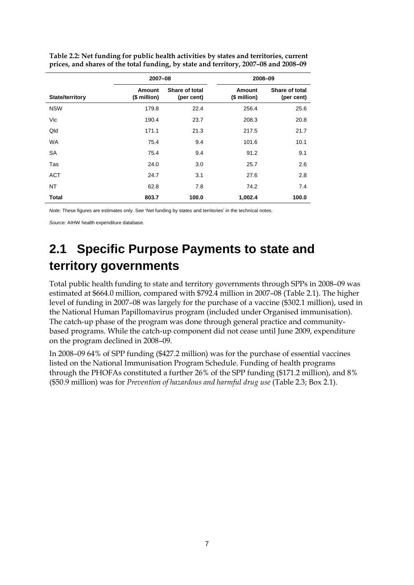|                 | 2007-08                       |                              |                               | 2008-09                      |
|-----------------|-------------------------------|------------------------------|-------------------------------|------------------------------|
| State/territory | <b>Amount</b><br>(\$ million) | Share of total<br>(per cent) | <b>Amount</b><br>(\$ million) | Share of total<br>(per cent) |
| <b>NSW</b>      | 179.8                         | 22.4                         | 256.4                         | 25.6                         |
| Vic             | 190.4                         | 23.7                         | 208.3                         | 20.8                         |
| Qld             | 171.1                         | 21.3                         | 217.5                         | 21.7                         |
| <b>WA</b>       | 75.4                          | 9.4                          | 101.6                         | 10.1                         |
| <b>SA</b>       | 75.4                          | 9.4                          | 91.2                          | 9.1                          |
| Tas             | 24.0                          | 3.0                          | 25.7                          | 2.6                          |
| <b>ACT</b>      | 24.7                          | 3.1                          | 27.6                          | 2.8                          |
| NT              | 62.8                          | 7.8                          | 74.2                          | 7.4                          |
| <b>Total</b>    | 803.7                         | 100.0                        | 1,002.4                       | 100.0                        |

<span id="page-12-0"></span>**Table 2.2: Net funding for public health activities by states and territories, current prices, and shares of the total funding, by state and territory, 2007–08 and 2008–09**

*Note*: These figures are estimates only. See 'Net funding by states and territories' in the technical notes.

*Source:* AIHW health expenditure database.

## **2.1 Specific Purpose Payments to state and territory governments**

Total public health funding to state and territory governments through SPPs in 2008–09 was estimated at \$664.0 million, compared with \$792.4 million in 2007–08 (Table 2.1). The higher level of funding in 2007–08 was largely for the purchase of a vaccine (\$302.1 million), used in the National Human Papillomavirus program (included under Organised immunisation). The catch-up phase of the program was done through general practice and communitybased programs. While the catch-up component did not cease until June 2009, expenditure on the program declined in 2008–09.

In 2008–09 64% of SPP funding (\$427.2 million) was for the purchase of essential vaccines listed on the National Immunisation Program Schedule. Funding of health programs through the PHOFAs constituted a further 26% of the SPP funding (\$171.2 million), and 8% (\$50.9 million) was for *Prevention of hazardous and harmful drug use* (Table 2.3; Box 2.1).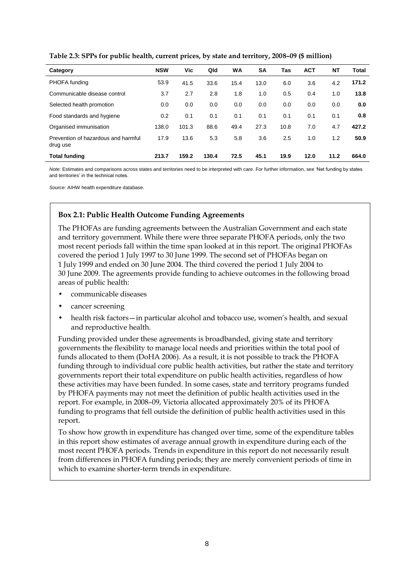| Category                                        | <b>NSW</b> | Vic   | Qld   | WA   | <b>SA</b> | Tas  | <b>ACT</b> | <b>NT</b> | Total |
|-------------------------------------------------|------------|-------|-------|------|-----------|------|------------|-----------|-------|
| PHOFA funding                                   | 53.9       | 41.5  | 33.6  | 15.4 | 13.0      | 6.0  | 3.6        | 4.2       | 171.2 |
| Communicable disease control                    | 3.7        | 2.7   | 2.8   | 1.8  | 1.0       | 0.5  | 0.4        | 1.0       | 13.8  |
| Selected health promotion                       | 0.0        | 0.0   | 0.0   | 0.0  | 0.0       | 0.0  | 0.0        | 0.0       | 0.0   |
| Food standards and hygiene                      | 0.2        | 0.1   | 0.1   | 0.1  | 0.1       | 0.1  | 0.1        | 0.1       | 0.8   |
| Organised immunisation                          | 138.0      | 101.3 | 88.6  | 49.4 | 27.3      | 10.8 | 7.0        | 4.7       | 427.2 |
| Prevention of hazardous and harmful<br>drug use | 17.9       | 13.6  | 5.3   | 5.8  | 3.6       | 2.5  | 1.0        | 1.2       | 50.9  |
| Total funding                                   | 213.7      | 159.2 | 130.4 | 72.5 | 45.1      | 19.9 | 12.0       | 11.2      | 664.0 |

<span id="page-13-0"></span>**Table 2.3: SPPs for public health, current prices, by state and territory, 2008–09 (\$ million)**

*Note:* Estimates and comparisons across states and territories need to be interpreted with care. For further information, see 'Net funding by states and territories' in the technical notes.

<span id="page-13-1"></span>*Source:* AIHW health expenditure database.

#### **Box 2.1: Public Health Outcome Funding Agreements**

The PHOFAs are funding agreements between the Australian Government and each state and territory government. While there were three separate PHOFA periods, only the two most recent periods fall within the time span looked at in this report. The original PHOFAs covered the period 1 July 1997 to 30 June 1999. The second set of PHOFAs began on 1 July 1999 and ended on 30 June 2004. The third covered the period 1 July 2004 to 30 June 2009. The agreements provide funding to achieve outcomes in the following broad areas of public health:

- communicable diseases
- cancer screening
- health risk factors—in particular alcohol and tobacco use, women's health, and sexual and reproductive health.

Funding provided under these agreements is broadbanded, giving state and territory governments the flexibility to manage local needs and priorities within the total pool of funds allocated to them (DoHA 2006). As a result, it is not possible to track the PHOFA funding through to individual core public health activities, but rather the state and territory governments report their total expenditure on public health activities, regardless of how these activities may have been funded. In some cases, state and territory programs funded by PHOFA payments may not meet the definition of public health activities used in the report. For example, in 2008–09, Victoria allocated approximately 20% of its PHOFA funding to programs that fell outside the definition of public health activities used in this report.

To show how growth in expenditure has changed over time, some of the expenditure tables in this report show estimates of average annual growth in expenditure during each of the most recent PHOFA periods. Trends in expenditure in this report do not necessarily result from differences in PHOFA funding periods; they are merely convenient periods of time in which to examine shorter-term trends in expenditure.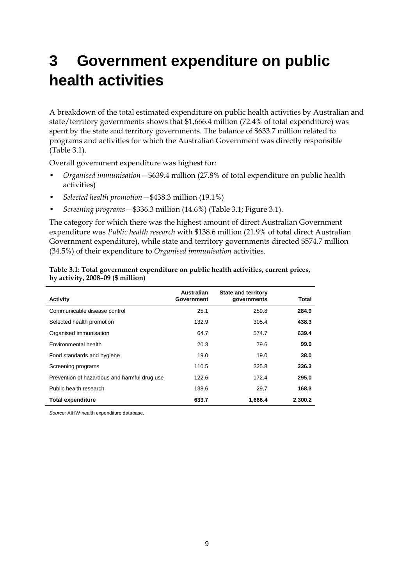## **3 Government expenditure on public health activities**

A breakdown of the total estimated expenditure on public health activities by Australian and state/territory governments shows that \$1,666.4 million (72.4% of total expenditure) was spent by the state and territory governments. The balance of \$633.7 million related to programs and activities for which the Australian Government was directly responsible (Table 3.1).

Overall government expenditure was highest for:

- *Organised immunisation*—\$639.4 million (27.8% of total expenditure on public health activities)
- *Selected health promotion*—\$438.3 million (19.1%)
- *Screening programs*—\$336.3 million (14.6%) (Table 3.1; Figure 3.1).

The category for which there was the highest amount of direct Australian Government expenditure was *Public health research* with \$138.6 million (21.9% of total direct Australian Government expenditure), while state and territory governments directed \$574.7 million (34.5%) of their expenditure to *Organised immunisation* activities.

| Activity                                     | <b>Australian</b><br>Government | <b>State and territory</b><br>governments | Total   |
|----------------------------------------------|---------------------------------|-------------------------------------------|---------|
|                                              |                                 |                                           |         |
| Communicable disease control                 | 25.1                            | 259.8                                     | 284.9   |
| Selected health promotion                    | 132.9                           | 305.4                                     | 438.3   |
| Organised immunisation                       | 64.7                            | 574.7                                     | 639.4   |
| Environmental health                         | 20.3                            | 79.6                                      | 99.9    |
| Food standards and hygiene                   | 19.0                            | 19.0                                      | 38.0    |
| Screening programs                           | 110.5                           | 225.8                                     | 336.3   |
| Prevention of hazardous and harmful drug use | 122.6                           | 172.4                                     | 295.0   |
| Public health research                       | 138.6                           | 29.7                                      | 168.3   |
| <b>Total expenditure</b>                     | 633.7                           | 1.666.4                                   | 2.300.2 |

<span id="page-14-0"></span>

| Table 3.1: Total government expenditure on public health activities, current prices, |  |
|--------------------------------------------------------------------------------------|--|
| by activity, $2008-09$ (\$ million)                                                  |  |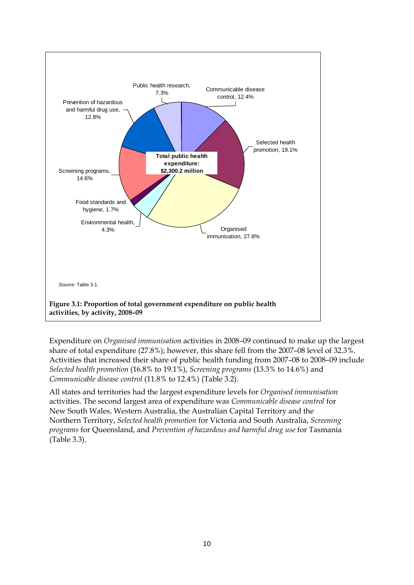

<span id="page-15-0"></span>Expenditure on *Organised immunisation* activities in 2008–09 continued to make up the largest share of total expenditure (27.8%); however, this share fell from the 2007–08 level of 32.3%. Activities that increased their share of public health funding from 2007–08 to 2008–09 include *Selected health promotion* (16.8% to 19.1%), *Screening programs* (13.3% to 14.6%) and *Communicable disease control* (11.8% to 12.4%) (Table 3.2).

All states and territories had the largest expenditure levels for *Organised immunisation*  activities. The second largest area of expenditure was *Communicable disease control* for New South Wales, Western Australia, the Australian Capital Territory and the Northern Territory, *Selected health promotion* for Victoria and South Australia, *Screening programs* for Queensland, and *Prevention of hazardous and harmful drug use* for Tasmania (Table 3.3).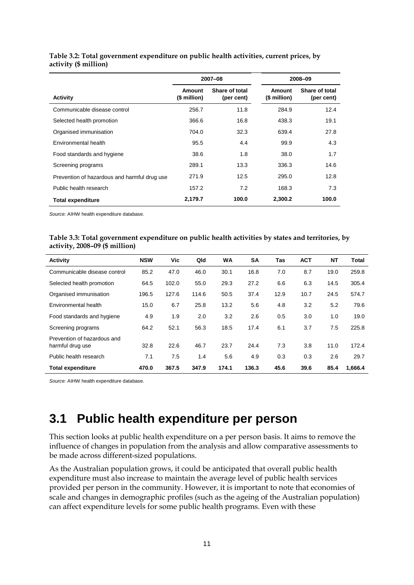|                                              |                        | 2007-08                      |                        | 2008-09                      |
|----------------------------------------------|------------------------|------------------------------|------------------------|------------------------------|
| <b>Activity</b>                              | Amount<br>(\$ million) | Share of total<br>(per cent) | Amount<br>(\$ million) | Share of total<br>(per cent) |
| Communicable disease control                 | 256.7                  | 11.8                         | 284.9                  | 12.4                         |
| Selected health promotion                    | 366.6                  | 16.8                         | 438.3                  | 19.1                         |
| Organised immunisation                       | 704.0                  | 32.3                         | 639.4                  | 27.8                         |
| Environmental health                         | 95.5                   | 4.4                          | 99.9                   | 4.3                          |
| Food standards and hygiene                   | 38.6                   | 1.8                          | 38.0                   | 1.7                          |
| Screening programs                           | 289.1                  | 13.3                         | 336.3                  | 14.6                         |
| Prevention of hazardous and harmful drug use | 271.9                  | 12.5                         | 295.0                  | 12.8                         |
| Public health research                       | 157.2                  | 7.2                          | 168.3                  | 7.3                          |
| <b>Total expenditure</b>                     | 2,179.7                | 100.0                        | 2,300.2                | 100.0                        |

#### <span id="page-16-0"></span>**Table 3.2: Total government expenditure on public health activities, current prices, by activity (\$ million)**

*Source:* AIHW health expenditure database.

<span id="page-16-1"></span>

| Table 3.3: Total government expenditure on public health activities by states and territories, by |  |
|---------------------------------------------------------------------------------------------------|--|
| activity, $2008-09$ (\$ million)                                                                  |  |

| <b>Activity</b>                                 | <b>NSW</b> | Vic.  | Qld   | <b>WA</b> | SΑ    | Tas  | <b>ACT</b> | NΤ   | <b>Total</b> |
|-------------------------------------------------|------------|-------|-------|-----------|-------|------|------------|------|--------------|
| Communicable disease control                    | 85.2       | 47.0  | 46.0  | 30.1      | 16.8  | 7.0  | 8.7        | 19.0 | 259.8        |
| Selected health promotion                       | 64.5       | 102.0 | 55.0  | 29.3      | 27.2  | 6.6  | 6.3        | 14.5 | 305.4        |
| Organised immunisation                          | 196.5      | 127.6 | 114.6 | 50.5      | 37.4  | 12.9 | 10.7       | 24.5 | 574.7        |
| Environmental health                            | 15.0       | 6.7   | 25.8  | 13.2      | 5.6   | 4.8  | 3.2        | 5.2  | 79.6         |
| Food standards and hygiene                      | 4.9        | 1.9   | 2.0   | 3.2       | 2.6   | 0.5  | 3.0        | 1.0  | 19.0         |
| Screening programs                              | 64.2       | 52.1  | 56.3  | 18.5      | 17.4  | 6.1  | 3.7        | 7.5  | 225.8        |
| Prevention of hazardous and<br>harmful drug use | 32.8       | 22.6  | 46.7  | 23.7      | 24.4  | 7.3  | 3.8        | 11.0 | 172.4        |
| Public health research                          | 7.1        | 7.5   | 1.4   | 5.6       | 4.9   | 0.3  | 0.3        | 2.6  | 29.7         |
| <b>Total expenditure</b>                        | 470.0      | 367.5 | 347.9 | 174.1     | 136.3 | 45.6 | 39.6       | 85.4 | 1.666.4      |

*Source:* AIHW health expenditure database.

### **3.1 Public health expenditure per person**

This section looks at public health expenditure on a per person basis. It aims to remove the influence of changes in population from the analysis and allow comparative assessments to be made across different-sized populations.

As the Australian population grows, it could be anticipated that overall public health expenditure must also increase to maintain the average level of public health services provided per person in the community. However, it is important to note that economies of scale and changes in demographic profiles (such as the ageing of the Australian population) can affect expenditure levels for some public health programs. Even with these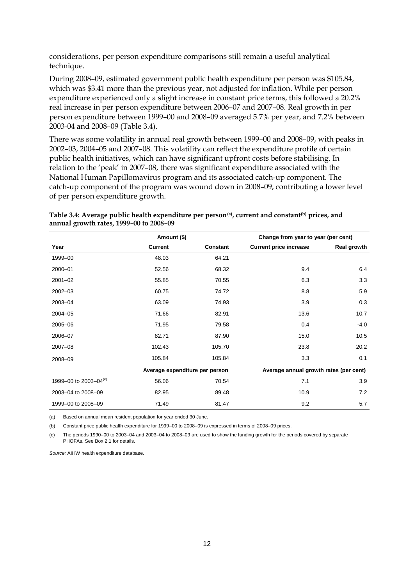considerations, per person expenditure comparisons still remain a useful analytical technique.

During 2008–09, estimated government public health expenditure per person was \$105.84, which was \$3.41 more than the previous year, not adjusted for inflation. While per person expenditure experienced only a slight increase in constant price terms, this followed a 20.2% real increase in per person expenditure between 2006–07 and 2007–08. Real growth in per person expenditure between 1999–00 and 2008–09 averaged 5.7% per year, and 7.2% between 2003-04 and 2008–09 (Table 3.4).

There was some volatility in annual real growth between 1999–00 and 2008–09, with peaks in 2002–03, 2004–05 and 2007–08. This volatility can reflect the expenditure profile of certain public health initiatives, which can have significant upfront costs before stabilising. In relation to the 'peak' in 2007–08, there was significant expenditure associated with the National Human Papillomavirus program and its associated catch-up component. The catch-up component of the program was wound down in 2008–09, contributing a lower level of per person expenditure growth.

|                                   | Amount (\$)                    |          | Change from year to year (per cent)    |             |  |
|-----------------------------------|--------------------------------|----------|----------------------------------------|-------------|--|
| Year                              | <b>Current</b>                 | Constant | <b>Current price increase</b>          | Real growth |  |
| 1999-00                           | 48.03                          | 64.21    |                                        |             |  |
| 2000-01                           | 52.56                          | 68.32    | 9.4                                    | 6.4         |  |
| $2001 - 02$                       | 55.85                          | 70.55    | 6.3                                    | 3.3         |  |
| 2002-03                           | 60.75                          | 74.72    | 8.8                                    | 5.9         |  |
| 2003-04                           | 63.09                          | 74.93    | 3.9                                    | 0.3         |  |
| 2004-05                           | 71.66                          | 82.91    | 13.6                                   | 10.7        |  |
| 2005-06                           | 71.95                          | 79.58    | 0.4                                    | $-4.0$      |  |
| 2006-07                           | 82.71                          | 87.90    | 15.0                                   | 10.5        |  |
| 2007-08                           | 102.43                         | 105.70   | 23.8                                   | 20.2        |  |
| 2008-09                           | 105.84                         | 105.84   | 3.3                                    | 0.1         |  |
|                                   | Average expenditure per person |          | Average annual growth rates (per cent) |             |  |
| 1999-00 to 2003-04 <sup>(c)</sup> | 56.06                          | 70.54    | 7.1                                    | 3.9         |  |
| 2003-04 to 2008-09                | 82.95                          | 89.48    | 10.9                                   | 7.2         |  |
| 1999-00 to 2008-09                | 71.49                          | 81.47    | 9.2                                    | 5.7         |  |

<span id="page-17-0"></span>**Table 3.4: Average public health expenditure per person(a), current and constant(b) prices, and annual growth rates, 1999–00 to 2008–09**

(a) Based on annual mean resident population for year ended 30 June.

(b) Constant price public health expenditure for 1999–00 to 2008–09 is expressed in terms of 2008–09 prices.

(c) The periods 1990–00 to 2003–04 and 2003–04 to 2008–09 are used to show the funding growth for the periods covered by separate PHOFAs. See Box 2.1 for details.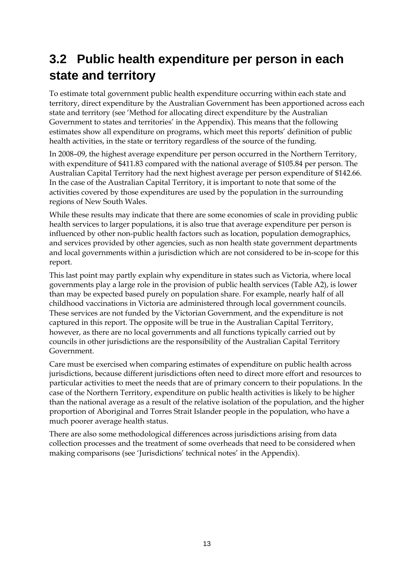## **3.2 Public health expenditure per person in each state and territory**

To estimate total government public health expenditure occurring within each state and territory, direct expenditure by the Australian Government has been apportioned across each state and territory (see 'Method for allocating direct expenditure by the Australian Government to states and territories' in the Appendix). This means that the following estimates show all expenditure on programs, which meet this reports' definition of public health activities, in the state or territory regardless of the source of the funding.

In 2008–09, the highest average expenditure per person occurred in the Northern Territory, with expenditure of \$411.83 compared with the national average of \$105.84 per person. The Australian Capital Territory had the next highest average per person expenditure of \$142.66. In the case of the Australian Capital Territory, it is important to note that some of the activities covered by those expenditures are used by the population in the surrounding regions of New South Wales.

While these results may indicate that there are some economies of scale in providing public health services to larger populations, it is also true that average expenditure per person is influenced by other non-public health factors such as location, population demographics, and services provided by other agencies, such as non health state government departments and local governments within a jurisdiction which are not considered to be in-scope for this report.

This last point may partly explain why expenditure in states such as Victoria, where local governments play a large role in the provision of public health services (Table A2), is lower than may be expected based purely on population share. For example, nearly half of all childhood vaccinations in Victoria are administered through local government councils. These services are not funded by the Victorian Government, and the expenditure is not captured in this report. The opposite will be true in the Australian Capital Territory, however, as there are no local governments and all functions typically carried out by councils in other jurisdictions are the responsibility of the Australian Capital Territory Government.

Care must be exercised when comparing estimates of expenditure on public health across jurisdictions, because different jurisdictions often need to direct more effort and resources to particular activities to meet the needs that are of primary concern to their populations. In the case of the Northern Territory, expenditure on public health activities is likely to be higher than the national average as a result of the relative isolation of the population, and the higher proportion of Aboriginal and Torres Strait Islander people in the population, who have a much poorer average health status.

There are also some methodological differences across jurisdictions arising from data collection processes and the treatment of some overheads that need to be considered when making comparisons (see 'Jurisdictions' technical notes' in the Appendix).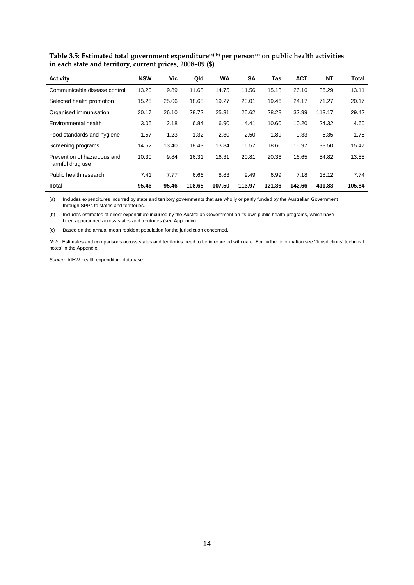| Activity                                        | <b>NSW</b> | Vic   | Qld    | <b>WA</b> | <b>SA</b> | Tas    | <b>ACT</b> | <b>NT</b> | <b>Total</b> |
|-------------------------------------------------|------------|-------|--------|-----------|-----------|--------|------------|-----------|--------------|
| Communicable disease control                    | 13.20      | 9.89  | 11.68  | 14.75     | 11.56     | 15.18  | 26.16      | 86.29     | 13.11        |
| Selected health promotion                       | 15.25      | 25.06 | 18.68  | 19.27     | 23.01     | 19.46  | 24.17      | 71.27     | 20.17        |
| Organised immunisation                          | 30.17      | 26.10 | 28.72  | 25.31     | 25.62     | 28.28  | 32.99      | 113.17    | 29.42        |
| Environmental health                            | 3.05       | 2.18  | 6.84   | 6.90      | 4.41      | 10.60  | 10.20      | 24.32     | 4.60         |
| Food standards and hygiene                      | 1.57       | 1.23  | 1.32   | 2.30      | 2.50      | 1.89   | 9.33       | 5.35      | 1.75         |
| Screening programs                              | 14.52      | 13.40 | 18.43  | 13.84     | 16.57     | 18.60  | 15.97      | 38.50     | 15.47        |
| Prevention of hazardous and<br>harmful drug use | 10.30      | 9.84  | 16.31  | 16.31     | 20.81     | 20.36  | 16.65      | 54.82     | 13.58        |
| Public health research                          | 7.41       | 7.77  | 6.66   | 8.83      | 9.49      | 6.99   | 7.18       | 18.12     | 7.74         |
| Total                                           | 95.46      | 95.46 | 108.65 | 107.50    | 113.97    | 121.36 | 142.66     | 411.83    | 105.84       |

<span id="page-19-0"></span>**Table 3.5: Estimated total government expenditure(a)(b) per person(c) on public health activities in each state and territory, current prices, 2008–09 (\$)**

(a) Includes expenditures incurred by state and territory governments that are wholly or partly funded by the Australian Government through SPPs to states and territories.

(b) Includes estimates of direct expenditure incurred by the Australian Government on its own public health programs, which have been apportioned across states and territories (see Appendix).

(c) Based on the annual mean resident population for the jurisdiction concerned.

*Note:* Estimates and comparisons across states and territories need to be interpreted with care. For further information see 'Jurisdictions' technical notes' in the Appendix.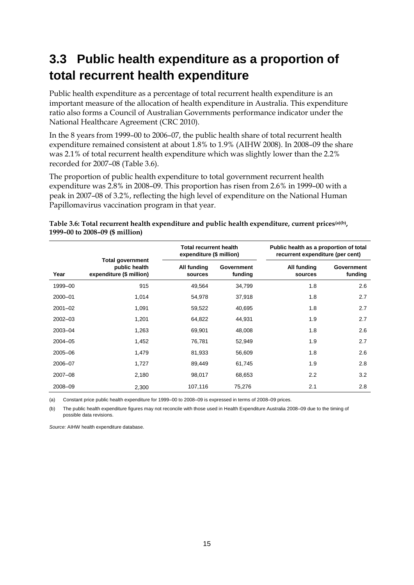## **3.3 Public health expenditure as a proportion of total recurrent health expenditure**

Public health expenditure as a percentage of total recurrent health expenditure is an important measure of the allocation of health expenditure in Australia. This expenditure ratio also forms a Council of Australian Governments performance indicator under the National Healthcare Agreement (CRC 2010).

In the 8 years from 1999–00 to 2006–07, the public health share of total recurrent health expenditure remained consistent at about 1.8% to 1.9% (AIHW 2008). In 2008–09 the share was 2.1% of total recurrent health expenditure which was slightly lower than the 2.2% recorded for 2007–08 (Table 3.6).

The proportion of public health expenditure to total government recurrent health expenditure was 2.8% in 2008–09. This proportion has risen from 2.6% in 1999–00 with a peak in 2007–08 of 3.2%, reflecting the high level of expenditure on the National Human Papillomavirus vaccination program in that year.

|             |                                                                      | <b>Total recurrent health</b><br>expenditure (\$ million) |                       | Public health as a proportion of total<br>recurrent expenditure (per cent) |                       |  |  |
|-------------|----------------------------------------------------------------------|-----------------------------------------------------------|-----------------------|----------------------------------------------------------------------------|-----------------------|--|--|
| Year        | <b>Total government</b><br>public health<br>expenditure (\$ million) | All funding<br>sources                                    | Government<br>funding | All funding<br>sources                                                     | Government<br>funding |  |  |
| 1999-00     | 915                                                                  | 49,564                                                    | 34,799                | 1.8                                                                        | 2.6                   |  |  |
| 2000-01     | 1.014                                                                | 54,978                                                    | 37.918                | 1.8                                                                        | 2.7                   |  |  |
| $2001 - 02$ | 1,091                                                                | 59,522                                                    | 40,695                | 1.8                                                                        | 2.7                   |  |  |
| $2002 - 03$ | 1,201                                                                | 64,822                                                    | 44,931                | 1.9                                                                        | 2.7                   |  |  |
| 2003-04     | 1,263                                                                | 69,901                                                    | 48,008                | 1.8                                                                        | 2.6                   |  |  |
| 2004-05     | 1,452                                                                | 76,781                                                    | 52,949                | 1.9                                                                        | 2.7                   |  |  |
| 2005-06     | 1,479                                                                | 81,933                                                    | 56,609                | 1.8                                                                        | 2.6                   |  |  |
| 2006-07     | 1,727                                                                | 89,449                                                    | 61,745                | 1.9                                                                        | 2.8                   |  |  |
| 2007-08     | 2,180                                                                | 98,017                                                    | 68,653                | 2.2                                                                        | 3.2                   |  |  |
| 2008-09     | 2,300                                                                | 107,116                                                   | 75,276                | 2.1                                                                        | 2.8                   |  |  |

<span id="page-20-0"></span>

| Table 3.6: Total recurrent health expenditure and public health expenditure, current prices(a)(b), |  |
|----------------------------------------------------------------------------------------------------|--|
| 1999-00 to 2008-09 (\$ million)                                                                    |  |

(a) Constant price public health expenditure for 1999–00 to 2008–09 is expressed in terms of 2008–09 prices.

(b) The public health expenditure figures may not reconcile with those used in Health Expenditure Australia 2008–09 due to the timing of possible data revisions.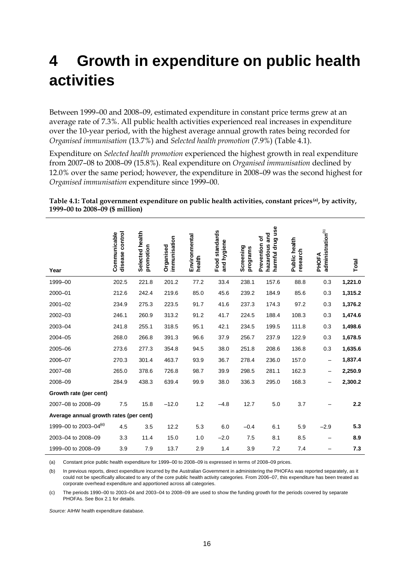## **4 Growth in expenditure on public health activities**

Between 1999–00 and 2008–09, estimated expenditure in constant price terms grew at an average rate of 7.3%. All public health activities experienced real increases in expenditure over the 10-year period, with the highest average annual growth rates being recorded for *Organised immunisation* (13.7%) and *Selected health promotion* (7.9%) (Table 4.1).

Expenditure on *Selected health promotion* experienced the highest growth in real expenditure from 2007–08 to 2008–09 (15.8%). Real expenditure on *Organised immunisation* declined by 12.0% over the same period; however, the expenditure in 2008–09 was the second highest for *Organised immunisation* expenditure since 1999–00.

|                                        | disease control<br>Communicable | Selected health<br>promotion | immunisation<br>Organised | Environmental<br>health | Food standards<br>and hygiene | Screening<br>programs | harmful drug use<br>hazardous and<br>Prevention of | Public health<br>research | administration <sup>(b)</sup><br>PHOFA | Total   |
|----------------------------------------|---------------------------------|------------------------------|---------------------------|-------------------------|-------------------------------|-----------------------|----------------------------------------------------|---------------------------|----------------------------------------|---------|
| Year                                   |                                 |                              |                           |                         |                               |                       |                                                    |                           |                                        |         |
| 1999-00                                | 202.5                           | 221.8                        | 201.2                     | 77.2                    | 33.4                          | 238.1                 | 157.6                                              | 88.8                      | 0.3                                    | 1,221.0 |
| 2000-01                                | 212.6                           | 242.4                        | 219.6                     | 85.0                    | 45.6                          | 239.2                 | 184.9                                              | 85.6                      | 0.3                                    | 1,315.2 |
| $2001 - 02$                            | 234.9                           | 275.3                        | 223.5                     | 91.7                    | 41.6                          | 237.3                 | 174.3                                              | 97.2                      | 0.3                                    | 1,376.2 |
| 2002-03                                | 246.1                           | 260.9                        | 313.2                     | 91.2                    | 41.7                          | 224.5                 | 188.4                                              | 108.3                     | 0.3                                    | 1,474.6 |
| 2003-04                                | 241.8                           | 255.1                        | 318.5                     | 95.1                    | 42.1                          | 234.5                 | 199.5                                              | 111.8                     | 0.3                                    | 1,498.6 |
| 2004-05                                | 268.0                           | 266.8                        | 391.3                     | 96.6                    | 37.9                          | 256.7                 | 237.9                                              | 122.9                     | 0.3                                    | 1,678.5 |
| 2005-06                                | 273.6                           | 277.3                        | 354.8                     | 94.5                    | 38.0                          | 251.8                 | 208.6                                              | 136.8                     | 0.3                                    | 1,635.6 |
| 2006-07                                | 270.3                           | 301.4                        | 463.7                     | 93.9                    | 36.7                          | 278.4                 | 236.0                                              | 157.0                     |                                        | 1,837.4 |
| 2007-08                                | 265.0                           | 378.6                        | 726.8                     | 98.7                    | 39.9                          | 298.5                 | 281.1                                              | 162.3                     |                                        | 2,250.9 |
| 2008-09                                | 284.9                           | 438.3                        | 639.4                     | 99.9                    | 38.0                          | 336.3                 | 295.0                                              | 168.3                     |                                        | 2,300.2 |
| Growth rate (per cent)                 |                                 |                              |                           |                         |                               |                       |                                                    |                           |                                        |         |
| 2007-08 to 2008-09                     | 7.5                             | 15.8                         | $-12.0$                   | 1.2                     | $-4.8$                        | 12.7                  | 5.0                                                | 3.7                       |                                        | 2.2     |
| Average annual growth rates (per cent) |                                 |                              |                           |                         |                               |                       |                                                    |                           |                                        |         |
| 1999-00 to 2003-04 <sup>(c)</sup>      | 4.5                             | 3.5                          | 12.2                      | 5.3                     | 6.0                           | $-0.4$                | 6.1                                                | 5.9                       | $-2.9$                                 | 5.3     |
| 2003-04 to 2008-09                     | 3.3                             | 11.4                         | 15.0                      | 1.0                     | $-2.0$                        | 7.5                   | 8.1                                                | 8.5                       |                                        | 8.9     |
| 1999-00 to 2008-09                     | 3.9                             | 7.9                          | 13.7                      | 2.9                     | 1.4                           | 3.9                   | 7.2                                                | 7.4                       |                                        | 7.3     |

#### <span id="page-21-0"></span>**Table 4.1: Total government expenditure on public health activities, constant prices(a), by activity, 1999–00 to 2008–09 (\$ million)**

(a) Constant price public health expenditure for 1999–00 to 2008–09 is expressed in terms of 2008–09 prices.

(b) In previous reports, direct expenditure incurred by the Australian Government in administering the PHOFAs was reported separately, as it could not be specifically allocated to any of the core public health activity categories. From 2006–07, this expenditure has been treated as corporate overhead expenditure and apportioned across all categories.

(c) The periods 1990–00 to 2003–04 and 2003–04 to 2008–09 are used to show the funding growth for the periods covered by separate PHOFAs. See Box 2.1 for details.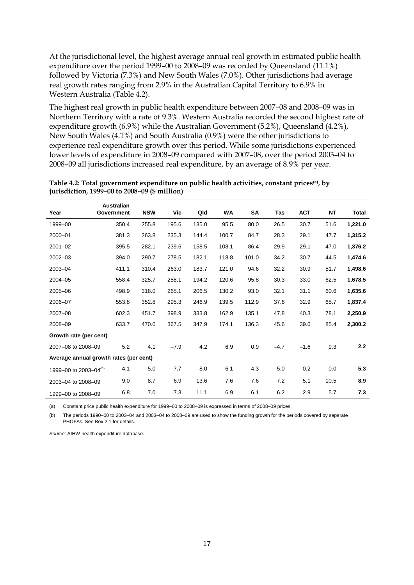At the jurisdictional level, the highest average annual real growth in estimated public health expenditure over the period 1999–00 to 2008–09 was recorded by Queensland (11.1%) followed by Victoria (7.3%) and New South Wales (7.0%). Other jurisdictions had average real growth rates ranging from 2.9% in the Australian Capital Territory to 6.9% in Western Australia (Table 4.2).

The highest real growth in public health expenditure between 2007–08 and 2008–09 was in Northern Territory with a rate of 9.3%. Western Australia recorded the second highest rate of expenditure growth (6.9%) while the Australian Government (5.2%), Queensland (4.2%), New South Wales (4.1%) and South Australia (0.9%) were the other jurisdictions to experience real expenditure growth over this period. While some jurisdictions experienced lower levels of expenditure in 2008–09 compared with 2007–08, over the period 2003–04 to 2008–09 all jurisdictions increased real expenditure, by an average of 8.9% per year.

|                                        | <b>Australian</b> |            |        |       |           |       |        |            |      |         |
|----------------------------------------|-------------------|------------|--------|-------|-----------|-------|--------|------------|------|---------|
| Year                                   | Government        | <b>NSW</b> | Vic    | Qld   | <b>WA</b> | SA    | Tas    | <b>ACT</b> | NT   | Total   |
| 1999-00                                | 350.4             | 255.8      | 195.6  | 135.0 | 95.5      | 80.0  | 26.5   | 30.7       | 51.6 | 1,221.0 |
| 2000-01                                | 381.3             | 263.8      | 235.3  | 144.4 | 100.7     | 84.7  | 28.3   | 29.1       | 47.7 | 1,315.2 |
| $2001 - 02$                            | 395.5             | 282.1      | 239.6  | 158.5 | 108.1     | 86.4  | 29.9   | 29.1       | 47.0 | 1,376.2 |
| $2002 - 03$                            | 394.0             | 290.7      | 278.5  | 182.1 | 118.8     | 101.0 | 34.2   | 30.7       | 44.5 | 1,474.6 |
| 2003-04                                | 411.1             | 310.4      | 263.0  | 183.7 | 121.0     | 94.6  | 32.2   | 30.9       | 51.7 | 1,498.6 |
| 2004-05                                | 558.4             | 325.7      | 258.1  | 194.2 | 120.6     | 95.8  | 30.3   | 33.0       | 62.5 | 1,678.5 |
| 2005-06                                | 498.9             | 318.0      | 265.1  | 206.5 | 130.2     | 93.0  | 32.1   | 31.1       | 60.6 | 1,635.6 |
| 2006-07                                | 553.8             | 352.8      | 295.3  | 246.9 | 139.5     | 112.9 | 37.6   | 32.9       | 65.7 | 1,837.4 |
| 2007-08                                | 602.3             | 451.7      | 398.9  | 333.8 | 162.9     | 135.1 | 47.8   | 40.3       | 78.1 | 2,250.9 |
| 2008-09                                | 633.7             | 470.0      | 367.5  | 347.9 | 174.1     | 136.3 | 45.6   | 39.6       | 85.4 | 2,300.2 |
| Growth rate (per cent)                 |                   |            |        |       |           |       |        |            |      |         |
| 2007-08 to 2008-09                     | 5.2               | 4.1        | $-7.9$ | 4.2   | 6.9       | 0.9   | $-4.7$ | $-1.6$     | 9.3  | 2.2     |
| Average annual growth rates (per cent) |                   |            |        |       |           |       |        |            |      |         |
| 1999-00 to 2003-04 <sup>(b)</sup>      | 4.1               | 5.0        | 7.7    | 8.0   | 6.1       | 4.3   | 5.0    | 0.2        | 0.0  | 5.3     |
| 2003-04 to 2008-09                     | 9.0               | 8.7        | 6.9    | 13.6  | 7.6       | 7.6   | 7.2    | 5.1        | 10.5 | 8.9     |
| 1999-00 to 2008-09                     | 6.8               | 7.0        | 7.3    | 11.1  | 6.9       | 6.1   | 6.2    | 2.9        | 5.7  | 7.3     |

<span id="page-22-0"></span>**Table 4.2: Total government expenditure on public health activities, constant prices(a), by jurisdiction, 1999–00 to 2008–09 (\$ million)**

(a) Constant price public health expenditure for 1999–00 to 2008–09 is expressed in terms of 2008–09 prices.

(b) The periods 1990–00 to 2003–04 and 2003–04 to 2008–09 are used to show the funding growth for the periods covered by separate PHOFAs. See Box 2.1 for details.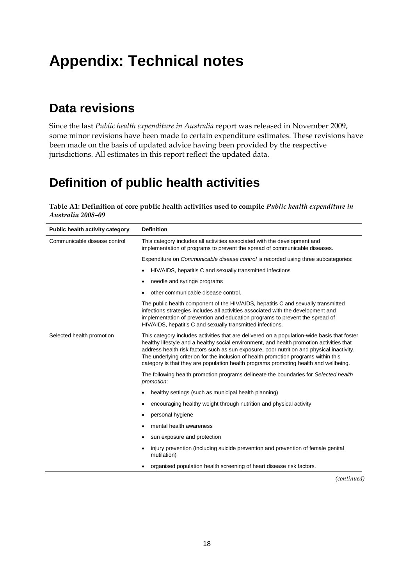## **Appendix: Technical notes**

### **Data revisions**

Since the last *Public health expenditure in Australia* report was released in November 2009, some minor revisions have been made to certain expenditure estimates. These revisions have been made on the basis of updated advice having been provided by the respective jurisdictions. All estimates in this report reflect the updated data.

## **Definition of public health activities**

#### <span id="page-23-0"></span>**Table A1: Definition of core public health activities used to compile** *Public health expenditure in Australia 2008–09*

| Public health activity category | <b>Definition</b>                                                                                                                                                                                                                                                                                                                                                                                                                                                   |
|---------------------------------|---------------------------------------------------------------------------------------------------------------------------------------------------------------------------------------------------------------------------------------------------------------------------------------------------------------------------------------------------------------------------------------------------------------------------------------------------------------------|
| Communicable disease control    | This category includes all activities associated with the development and<br>implementation of programs to prevent the spread of communicable diseases.                                                                                                                                                                                                                                                                                                             |
|                                 | Expenditure on <i>Communicable disease control</i> is recorded using three subcategories:                                                                                                                                                                                                                                                                                                                                                                           |
|                                 | HIV/AIDS, hepatitis C and sexually transmitted infections                                                                                                                                                                                                                                                                                                                                                                                                           |
|                                 | needle and syringe programs                                                                                                                                                                                                                                                                                                                                                                                                                                         |
|                                 | other communicable disease control.                                                                                                                                                                                                                                                                                                                                                                                                                                 |
|                                 | The public health component of the HIV/AIDS, hepatitis C and sexually transmitted<br>infections strategies includes all activities associated with the development and<br>implementation of prevention and education programs to prevent the spread of<br>HIV/AIDS, hepatitis C and sexually transmitted infections.                                                                                                                                                |
| Selected health promotion       | This category includes activities that are delivered on a population-wide basis that foster<br>healthy lifestyle and a healthy social environment, and health promotion activities that<br>address health risk factors such as sun exposure, poor nutrition and physical inactivity.<br>The underlying criterion for the inclusion of health promotion programs within this<br>category is that they are population health programs promoting health and wellbeing. |
|                                 | The following health promotion programs delineate the boundaries for Selected health<br>promotion:                                                                                                                                                                                                                                                                                                                                                                  |
|                                 | healthy settings (such as municipal health planning)                                                                                                                                                                                                                                                                                                                                                                                                                |
|                                 | encouraging healthy weight through nutrition and physical activity                                                                                                                                                                                                                                                                                                                                                                                                  |
|                                 | personal hygiene                                                                                                                                                                                                                                                                                                                                                                                                                                                    |
|                                 | mental health awareness                                                                                                                                                                                                                                                                                                                                                                                                                                             |
|                                 | sun exposure and protection<br>٠                                                                                                                                                                                                                                                                                                                                                                                                                                    |
|                                 | injury prevention (including suicide prevention and prevention of female genital<br>mutilation)                                                                                                                                                                                                                                                                                                                                                                     |
|                                 | organised population health screening of heart disease risk factors.                                                                                                                                                                                                                                                                                                                                                                                                |
|                                 | Continuo                                                                                                                                                                                                                                                                                                                                                                                                                                                            |

*(continued)*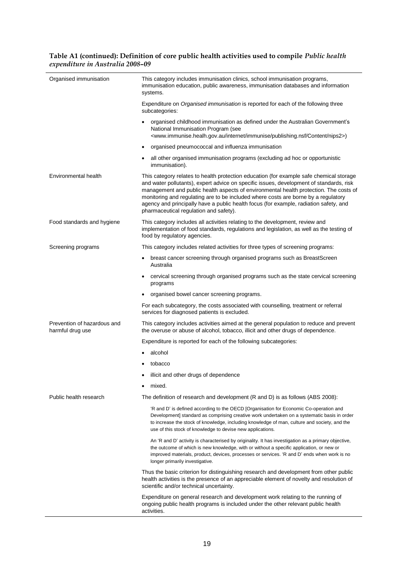#### **Table A1 (continued): Definition of core public health activities used to compile** *Public health expenditure in Australia 2008–09*

| Organised immunisation                          | This category includes immunisation clinics, school immunisation programs,<br>immunisation education, public awareness, immunisation databases and information<br>systems.                                                                                                                                                                                                                                                                                                                           |
|-------------------------------------------------|------------------------------------------------------------------------------------------------------------------------------------------------------------------------------------------------------------------------------------------------------------------------------------------------------------------------------------------------------------------------------------------------------------------------------------------------------------------------------------------------------|
|                                                 | Expenditure on <i>Organised immunisation</i> is reported for each of the following three<br>subcategories:                                                                                                                                                                                                                                                                                                                                                                                           |
|                                                 | organised childhood immunisation as defined under the Australian Government's<br>National Immunisation Program (see<br><www.immunise.healh.gov.au content="" immunise="" internet="" nips2="" publishing.nsf="">)</www.immunise.healh.gov.au>                                                                                                                                                                                                                                                        |
|                                                 | organised pneumococcal and influenza immunisation<br>$\bullet$                                                                                                                                                                                                                                                                                                                                                                                                                                       |
|                                                 | all other organised immunisation programs (excluding ad hoc or opportunistic<br>٠<br>immunisation).                                                                                                                                                                                                                                                                                                                                                                                                  |
| Environmental health                            | This category relates to health protection education (for example safe chemical storage<br>and water pollutants), expert advice on specific issues, development of standards, risk<br>management and public health aspects of environmental health protection. The costs of<br>monitoring and regulating are to be included where costs are borne by a regulatory<br>agency and principally have a public health focus (for example, radiation safety, and<br>pharmaceutical regulation and safety). |
| Food standards and hygiene                      | This category includes all activities relating to the development, review and<br>implementation of food standards, regulations and legislation, as well as the testing of<br>food by regulatory agencies.                                                                                                                                                                                                                                                                                            |
| Screening programs                              | This category includes related activities for three types of screening programs:                                                                                                                                                                                                                                                                                                                                                                                                                     |
|                                                 | breast cancer screening through organised programs such as BreastScreen<br>Australia                                                                                                                                                                                                                                                                                                                                                                                                                 |
|                                                 | cervical screening through organised programs such as the state cervical screening<br>programs                                                                                                                                                                                                                                                                                                                                                                                                       |
|                                                 | organised bowel cancer screening programs.                                                                                                                                                                                                                                                                                                                                                                                                                                                           |
|                                                 | For each subcategory, the costs associated with counselling, treatment or referral<br>services for diagnosed patients is excluded.                                                                                                                                                                                                                                                                                                                                                                   |
| Prevention of hazardous and<br>harmful drug use | This category includes activities aimed at the general population to reduce and prevent<br>the overuse or abuse of alcohol, tobacco, illicit and other drugs of dependence.                                                                                                                                                                                                                                                                                                                          |
|                                                 | Expenditure is reported for each of the following subcategories:                                                                                                                                                                                                                                                                                                                                                                                                                                     |
|                                                 | alcohol                                                                                                                                                                                                                                                                                                                                                                                                                                                                                              |
|                                                 | tobacco                                                                                                                                                                                                                                                                                                                                                                                                                                                                                              |
|                                                 | illicit and other drugs of dependence                                                                                                                                                                                                                                                                                                                                                                                                                                                                |
|                                                 | mixed.                                                                                                                                                                                                                                                                                                                                                                                                                                                                                               |
| Public health research                          | The definition of research and development (R and D) is as follows (ABS 2008):                                                                                                                                                                                                                                                                                                                                                                                                                       |
|                                                 | 'R and D' is defined according to the OECD [Organisation for Economic Co-operation and<br>Development] standard as comprising creative work undertaken on a systematic basis in order<br>to increase the stock of knowledge, including knowledge of man, culture and society, and the<br>use of this stock of knowledge to devise new applications.                                                                                                                                                  |
|                                                 | An 'R and D' activity is characterised by originality. It has investigation as a primary objective,<br>the outcome of which is new knowledge, with or without a specific application, or new or<br>improved materials, product, devices, processes or services. 'R and D' ends when work is no<br>longer primarily investigative.                                                                                                                                                                    |
|                                                 | Thus the basic criterion for distinguishing research and development from other public<br>health activities is the presence of an appreciable element of novelty and resolution of<br>scientific and/or technical uncertainty.                                                                                                                                                                                                                                                                       |
|                                                 | Expenditure on general research and development work relating to the running of<br>ongoing public health programs is included under the other relevant public health<br>activities.                                                                                                                                                                                                                                                                                                                  |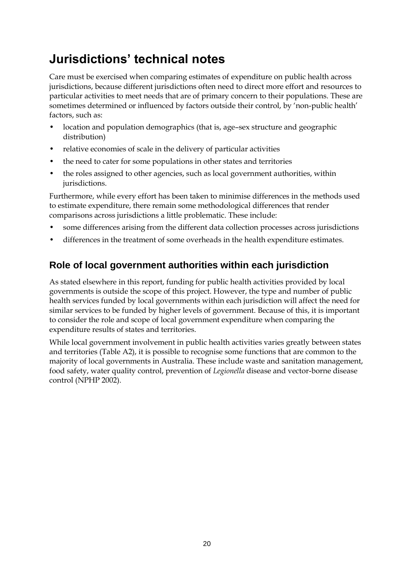## **Jurisdictions' technical notes**

Care must be exercised when comparing estimates of expenditure on public health across jurisdictions, because different jurisdictions often need to direct more effort and resources to particular activities to meet needs that are of primary concern to their populations. These are sometimes determined or influenced by factors outside their control, by 'non-public health' factors, such as:

- location and population demographics (that is, age–sex structure and geographic distribution)
- relative economies of scale in the delivery of particular activities
- the need to cater for some populations in other states and territories
- the roles assigned to other agencies, such as local government authorities, within jurisdictions.

Furthermore, while every effort has been taken to minimise differences in the methods used to estimate expenditure, there remain some methodological differences that render comparisons across jurisdictions a little problematic. These include:

- some differences arising from the different data collection processes across jurisdictions
- differences in the treatment of some overheads in the health expenditure estimates.

### **Role of local government authorities within each jurisdiction**

As stated elsewhere in this report, funding for public health activities provided by local governments is outside the scope of this project. However, the type and number of public health services funded by local governments within each jurisdiction will affect the need for similar services to be funded by higher levels of government. Because of this, it is important to consider the role and scope of local government expenditure when comparing the expenditure results of states and territories.

While local government involvement in public health activities varies greatly between states and territories (Table A2), it is possible to recognise some functions that are common to the majority of local governments in Australia. These include waste and sanitation management, food safety, water quality control, prevention of *Legionella* disease and vector-borne disease control (NPHP 2002).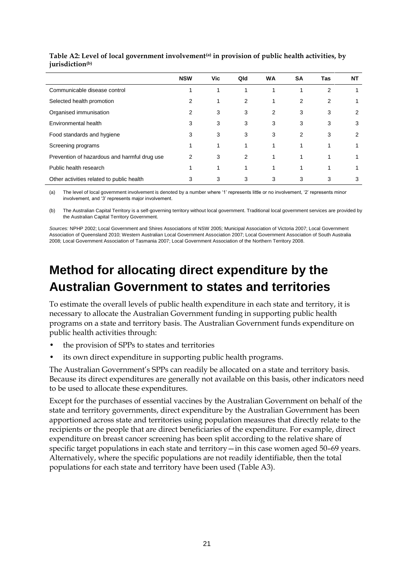|                                              | <b>NSW</b> | Vic | Qld | <b>WA</b> | SΑ             | Tas | ΝT |
|----------------------------------------------|------------|-----|-----|-----------|----------------|-----|----|
| Communicable disease control                 |            |     |     |           |                | 2   |    |
| Selected health promotion                    | 2          |     | 2   |           | $\overline{2}$ | 2   |    |
| Organised immunisation                       | 2          | 3   | 3   | 2         | 3              | 3   | 2  |
| Environmental health                         | 3          | 3   | 3   | 3         | 3              | 3   | 3  |
| Food standards and hygiene                   | 3          | 3   | 3   | 3         | 2              | 3   | 2  |
| Screening programs                           |            |     | 1   |           |                |     |    |
| Prevention of hazardous and harmful drug use | 2          | 3   | 2   |           |                |     |    |
| Public health research                       |            |     | 1   |           |                |     |    |
| Other activities related to public health    | 3          | 3   | 3   | 3         | 3              | 3   | 3  |

#### <span id="page-26-0"></span>**Table A2: Level of local government involvement(a) in provision of public health activities, by jurisdiction(b)**

(a) The level of local government involvement is denoted by a number where '1' represents little or no involvement, '2' represents minor involvement, and '3' represents major involvement.

(b) The Australian Capital Territory is a self-governing territory without local government. Traditional local government services are provided by the Australian Capital Territory Government.

*Sources:* NPHP 2002; Local Government and Shires Associations of NSW 2005; Municipal Association of Victoria 2007; Local Government Association of Queensland 2010; Western Australian Local Government Association 2007; Local Government Association of South Australia 2008; Local Government Association of Tasmania 2007; Local Government Association of the Northern Territory 2008.

## **Method for allocating direct expenditure by the Australian Government to states and territories**

To estimate the overall levels of public health expenditure in each state and territory, it is necessary to allocate the Australian Government funding in supporting public health programs on a state and territory basis. The Australian Government funds expenditure on public health activities through:

- the provision of SPPs to states and territories
- its own direct expenditure in supporting public health programs.

The Australian Government's SPPs can readily be allocated on a state and territory basis. Because its direct expenditures are generally not available on this basis, other indicators need to be used to allocate these expenditures.

Except for the purchases of essential vaccines by the Australian Government on behalf of the state and territory governments, direct expenditure by the Australian Government has been apportioned across state and territories using population measures that directly relate to the recipients or the people that are direct beneficiaries of the expenditure. For example, direct expenditure on breast cancer screening has been split according to the relative share of specific target populations in each state and territory—in this case women aged 50–69 years. Alternatively, where the specific populations are not readily identifiable, then the total populations for each state and territory have been used (Table A3).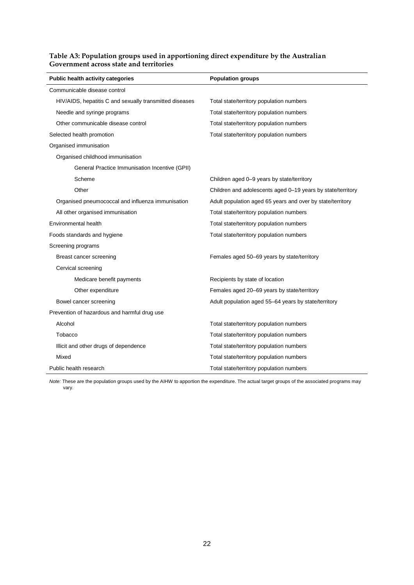| Public health activity categories                       | <b>Population groups</b>                                    |
|---------------------------------------------------------|-------------------------------------------------------------|
| Communicable disease control                            |                                                             |
| HIV/AIDS, hepatitis C and sexually transmitted diseases | Total state/territory population numbers                    |
| Needle and syringe programs                             | Total state/territory population numbers                    |
| Other communicable disease control                      | Total state/territory population numbers                    |
| Selected health promotion                               | Total state/territory population numbers                    |
| Organised immunisation                                  |                                                             |
| Organised childhood immunisation                        |                                                             |
| General Practice Immunisation Incentive (GPII)          |                                                             |
| Scheme                                                  | Children aged 0-9 years by state/territory                  |
| Other                                                   | Children and adolescents aged 0–19 years by state/territory |
| Organised pneumococcal and influenza immunisation       | Adult population aged 65 years and over by state/territory  |
| All other organised immunisation                        | Total state/territory population numbers                    |
| Environmental health                                    | Total state/territory population numbers                    |
| Foods standards and hygiene                             | Total state/territory population numbers                    |
| Screening programs                                      |                                                             |
| Breast cancer screening                                 | Females aged 50-69 years by state/territory                 |
| Cervical screening                                      |                                                             |
| Medicare benefit payments                               | Recipients by state of location                             |
| Other expenditure                                       | Females aged 20–69 years by state/territory                 |
| Bowel cancer screening                                  | Adult population aged 55-64 years by state/territory        |
| Prevention of hazardous and harmful drug use            |                                                             |
| Alcohol                                                 | Total state/territory population numbers                    |
| Tobacco                                                 | Total state/territory population numbers                    |
| Illicit and other drugs of dependence                   | Total state/territory population numbers                    |
| Mixed                                                   | Total state/territory population numbers                    |
| Public health research                                  | Total state/territory population numbers                    |

#### <span id="page-27-0"></span>**Table A3: Population groups used in apportioning direct expenditure by the Australian Government across state and territories**

*Note:* These are the population groups used by the AIHW to apportion the expenditure. The actual target groups of the associated programs may vary.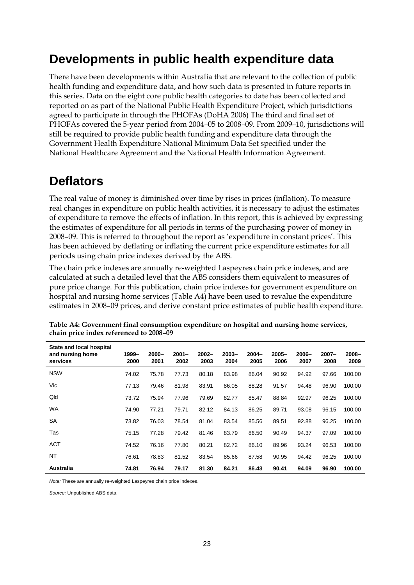### **Developments in public health expenditure data**

There have been developments within Australia that are relevant to the collection of public health funding and expenditure data, and how such data is presented in future reports in this series. Data on the eight core public health categories to date has been collected and reported on as part of the National Public Health Expenditure Project, which jurisdictions agreed to participate in through the PHOFAs (DoHA 2006) The third and final set of PHOFAs covered the 5-year period from 2004–05 to 2008–09. From 2009–10, jurisdictions will still be required to provide public health funding and expenditure data through the Government Health Expenditure National Minimum Data Set specified under the National Healthcare Agreement and the National Health Information Agreement.

### **Deflators**

The real value of money is diminished over time by rises in prices (inflation). To measure real changes in expenditure on public health activities, it is necessary to adjust the estimates of expenditure to remove the effects of inflation. In this report, this is achieved by expressing the estimates of expenditure for all periods in terms of the purchasing power of money in 2008–09. This is referred to throughout the report as 'expenditure in constant prices'. This has been achieved by deflating or inflating the current price expenditure estimates for all periods using chain price indexes derived by the ABS.

The chain price indexes are annually re-weighted Laspeyres chain price indexes, and are calculated at such a detailed level that the ABS considers them equivalent to measures of pure price change. For this publication, chain price indexes for government expenditure on hospital and nursing home services (Table A4) have been used to revalue the expenditure estimates in 2008–09 prices, and derive constant price estimates of public health expenditure.

| State and local hospital<br>and nursing home<br>services | 1999-<br>2000 | $2000 -$<br>2001 | $2001 -$<br>2002 | $2002 -$<br>2003 | $2003 -$<br>2004 | $2004 -$<br>2005 | $2005 -$<br>2006 | $2006 -$<br>2007 | $2007 -$<br>2008 | $2008 -$<br>2009 |
|----------------------------------------------------------|---------------|------------------|------------------|------------------|------------------|------------------|------------------|------------------|------------------|------------------|
| <b>NSW</b>                                               | 74.02         | 75.78            | 77.73            | 80.18            | 83.98            | 86.04            | 90.92            | 94.92            | 97.66            | 100.00           |
| Vic                                                      | 77.13         | 79.46            | 81.98            | 83.91            | 86.05            | 88.28            | 91.57            | 94.48            | 96.90            | 100.00           |
| Qld                                                      | 73.72         | 75.94            | 77.96            | 79.69            | 82.77            | 85.47            | 88.84            | 92.97            | 96.25            | 100.00           |
| <b>WA</b>                                                | 74.90         | 77.21            | 79.71            | 82.12            | 84.13            | 86.25            | 89.71            | 93.08            | 96.15            | 100.00           |
| <b>SA</b>                                                | 73.82         | 76.03            | 78.54            | 81.04            | 83.54            | 85.56            | 89.51            | 92.88            | 96.25            | 100.00           |
| Tas                                                      | 75.15         | 77.28            | 79.42            | 81.46            | 83.79            | 86.50            | 90.49            | 94.37            | 97.09            | 100.00           |
| <b>ACT</b>                                               | 74.52         | 76.16            | 77.80            | 80.21            | 82.72            | 86.10            | 89.96            | 93.24            | 96.53            | 100.00           |
| <b>NT</b>                                                | 76.61         | 78.83            | 81.52            | 83.54            | 85.66            | 87.58            | 90.95            | 94.42            | 96.25            | 100.00           |
| Australia                                                | 74.81         | 76.94            | 79.17            | 81.30            | 84.21            | 86.43            | 90.41            | 94.09            | 96.90            | 100.00           |

<span id="page-28-0"></span>**Table A4: Government final consumption expenditure on hospital and nursing home services, chain price index referenced to 2008–09**

*Note:* These are annually re-weighted Laspeyres chain price indexes.

*Source:* Unpublished ABS data.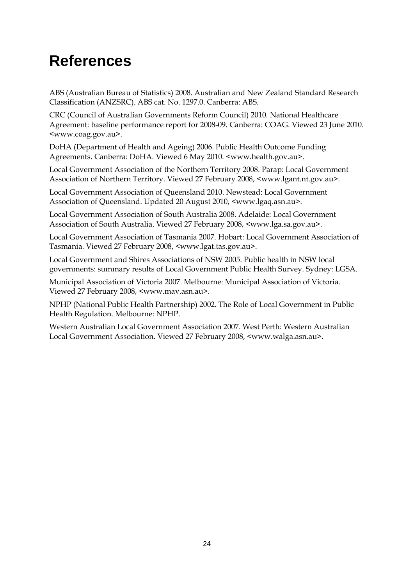## **References**

ABS (Australian Bureau of Statistics) 2008. Australian and New Zealand Standard Research Classification (ANZSRC). ABS cat. No. 1297.0. Canberra: ABS.

CRC (Council of Australian Governments Reform Council) 2010. National Healthcare Agreement: baseline performance report for 2008-09. Canberra: COAG. Viewed 23 June 2010. <www.coag.gov.au>.

DoHA (Department of Health and Ageing) 2006. Public Health Outcome Funding Agreements. Canberra: DoHA. Viewed 6 May 2010. [<www.health.gov.au>](http://www.health.gov.au/).

Local Government Association of the Northern Territory 2008. Parap: Local Government Association of Northern Territory. Viewed 27 February 2008, <www.lgant.nt.gov.au>.

Local Government Association of Queensland 2010. Newstead: Local Government Association of Queensland. Updated 20 August 2010, <www.lgaq.asn.au>.

Local Government Association of South Australia 2008. Adelaide: Local Government Association of South Australia. Viewed 27 February 2008, <www.lga.sa.gov.au>.

Local Government Association of Tasmania 2007. Hobart: Local Government Association of Tasmania. Viewed 27 February 2008, <www.lgat.tas.gov.au>.

Local Government and Shires Associations of NSW 2005. Public health in NSW local governments: summary results of Local Government Public Health Survey. Sydney: LGSA.

Municipal Association of Victoria 2007. Melbourne: Municipal Association of Victoria. Viewed 27 February 2008, <www.mav.asn.au>.

NPHP (National Public Health Partnership) 2002. The Role of Local Government in Public Health Regulation. Melbourne: NPHP.

Western Australian Local Government Association 2007. West Perth: Western Australian Local Government Association. Viewed 27 February 2008, <www.walga.asn.au>.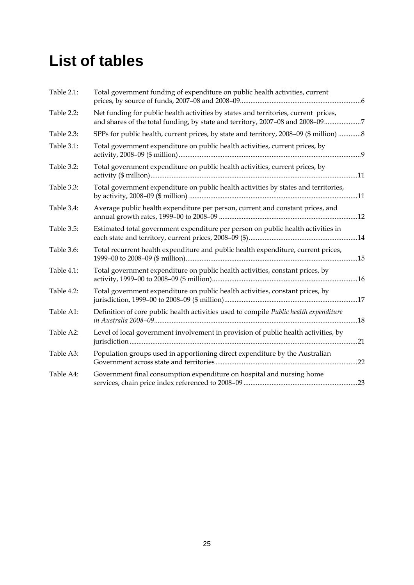## **List of tables**

| Table 2.1: | Total government funding of expenditure on public health activities, current                                                                                         |  |
|------------|----------------------------------------------------------------------------------------------------------------------------------------------------------------------|--|
| Table 2.2: | Net funding for public health activities by states and territories, current prices,<br>and shares of the total funding, by state and territory, 2007-08 and 2008-097 |  |
| Table 2.3: | SPPs for public health, current prices, by state and territory, 2008-09 (\$ million)  8                                                                              |  |
| Table 3.1: | Total government expenditure on public health activities, current prices, by                                                                                         |  |
| Table 3.2: | Total government expenditure on public health activities, current prices, by                                                                                         |  |
| Table 3.3: | Total government expenditure on public health activities by states and territories,                                                                                  |  |
| Table 3.4: | Average public health expenditure per person, current and constant prices, and                                                                                       |  |
| Table 3.5: | Estimated total government expenditure per person on public health activities in                                                                                     |  |
| Table 3.6: | Total recurrent health expenditure and public health expenditure, current prices,                                                                                    |  |
| Table 4.1: | Total government expenditure on public health activities, constant prices, by                                                                                        |  |
| Table 4.2: | Total government expenditure on public health activities, constant prices, by                                                                                        |  |
| Table A1:  | Definition of core public health activities used to compile Public health expenditure                                                                                |  |
| Table A2:  | Level of local government involvement in provision of public health activities, by                                                                                   |  |
| Table A3:  | Population groups used in apportioning direct expenditure by the Australian                                                                                          |  |
| Table A4:  | Government final consumption expenditure on hospital and nursing home                                                                                                |  |